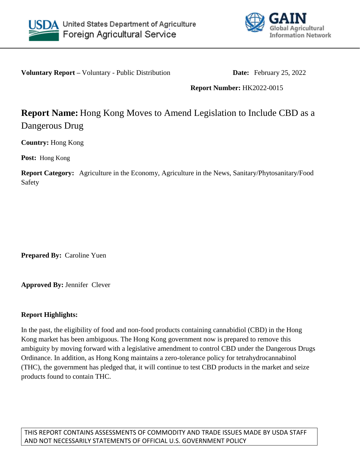



**Voluntary Report** – Voluntary - Public Distribution **Date:** February 25, 2022

## **Report Number:** HK2022-0015

## **Report Name:** Hong Kong Moves to Amend Legislation to Include CBD as a Dangerous Drug

**Country:** Hong Kong

**Post:** Hong Kong

**Report Category:** Agriculture in the Economy, Agriculture in the News, Sanitary/Phytosanitary/Food Safety

**Prepared By:** Caroline Yuen

**Approved By:** Jennifer Clever

## **Report Highlights:**

In the past, the eligibility of food and non-food products containing cannabidiol (CBD) in the Hong Kong market has been ambiguous. The Hong Kong government now is prepared to remove this ambiguity by moving forward with a legislative amendment to control CBD under the Dangerous Drugs Ordinance. In addition, as Hong Kong maintains a zero-tolerance policy for tetrahydrocannabinol (THC), the government has pledged that, it will continue to test CBD products in the market and seize products found to contain THC.

THIS REPORT CONTAINS ASSESSMENTS OF COMMODITY AND TRADE ISSUES MADE BY USDA STAFF AND NOT NECESSARILY STATEMENTS OF OFFICIAL U.S. GOVERNMENT POLICY